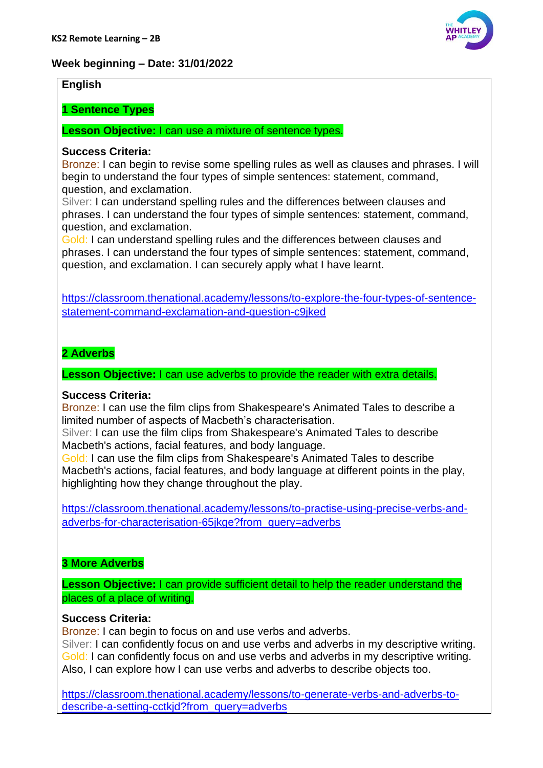

# **Week beginning – Date: 31/01/2022**

### **English**

**1 Sentence Types**

**Lesson Objective:** I can use a mixture of sentence types.

### **Success Criteria:**

Bronze: I can begin to revise some spelling rules as well as clauses and phrases. I will begin to understand the four types of simple sentences: statement, command, question, and exclamation.

Silver: I can understand spelling rules and the differences between clauses and phrases. I can understand the four types of simple sentences: statement, command, question, and exclamation.

Gold: I can understand spelling rules and the differences between clauses and phrases. I can understand the four types of simple sentences: statement, command, question, and exclamation. I can securely apply what I have learnt.

[https://classroom.thenational.academy/lessons/to-explore-the-four-types-of-sentence](https://classroom.thenational.academy/lessons/to-explore-the-four-types-of-sentence-statement-command-exclamation-and-question-c9jked)[statement-command-exclamation-and-question-c9jked](https://classroom.thenational.academy/lessons/to-explore-the-four-types-of-sentence-statement-command-exclamation-and-question-c9jked)

## **2 Adverbs**

**Lesson Objective:** I can use adverbs to provide the reader with extra details.

### **Success Criteria:**

Bronze: I can use the film clips from Shakespeare's Animated Tales to describe a limited number of aspects of Macbeth's characterisation.

Silver: I can use the film clips from Shakespeare's Animated Tales to describe Macbeth's actions, facial features, and body language.

Gold: I can use the film clips from Shakespeare's Animated Tales to describe Macbeth's actions, facial features, and body language at different points in the play, highlighting how they change throughout the play.

[https://classroom.thenational.academy/lessons/to-practise-using-precise-verbs-and](https://classroom.thenational.academy/lessons/to-practise-using-precise-verbs-and-adverbs-for-characterisation-65jkge?from_query=adverbs)adverbs-for-characterisation-65ikge?from\_query=adverbs

### **3 More Adverbs**

**Lesson Objective:** I can provide sufficient detail to help the reader understand the places of a place of writing.

### **Success Criteria:**

Bronze: I can begin to focus on and use verbs and adverbs.

Silver: I can confidently focus on and use verbs and adverbs in my descriptive writing. Gold: I can confidently focus on and use verbs and adverbs in my descriptive writing. Also, I can explore how I can use verbs and adverbs to describe objects too.

[https://classroom.thenational.academy/lessons/to-generate-verbs-and-adverbs-to](https://classroom.thenational.academy/lessons/to-generate-verbs-and-adverbs-to-describe-a-setting-cctkjd?from_query=adverbs)[describe-a-setting-cctkjd?from\\_query=adverbs](https://classroom.thenational.academy/lessons/to-generate-verbs-and-adverbs-to-describe-a-setting-cctkjd?from_query=adverbs)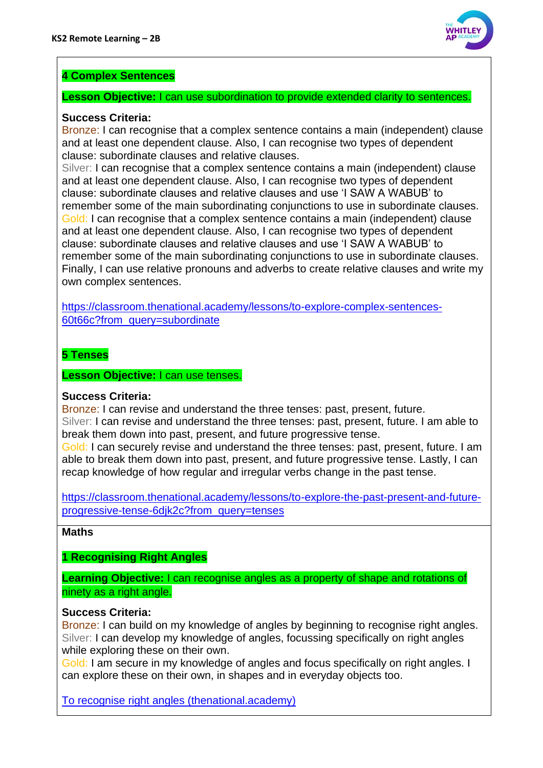

# **4 Complex Sentences**

### **Lesson Objective:** I can use subordination to provide extended clarity to sentences.

### **Success Criteria:**

Bronze: I can recognise that a complex sentence contains a main (independent) clause and at least one dependent clause. Also, I can recognise two types of dependent clause: subordinate clauses and relative clauses.

Silver: I can recognise that a complex sentence contains a main (independent) clause and at least one dependent clause. Also, I can recognise two types of dependent clause: subordinate clauses and relative clauses and use 'I SAW A WABUB' to remember some of the main subordinating conjunctions to use in subordinate clauses. Gold: I can recognise that a complex sentence contains a main (independent) clause and at least one dependent clause. Also, I can recognise two types of dependent clause: subordinate clauses and relative clauses and use 'I SAW A WABUB' to remember some of the main subordinating conjunctions to use in subordinate clauses. Finally, I can use relative pronouns and adverbs to create relative clauses and write my own complex sentences.

[https://classroom.thenational.academy/lessons/to-explore-complex-sentences-](https://classroom.thenational.academy/lessons/to-explore-complex-sentences-60t66c?from_query=subordinate)[60t66c?from\\_query=subordinate](https://classroom.thenational.academy/lessons/to-explore-complex-sentences-60t66c?from_query=subordinate)

## **5 Tenses**

**Lesson Objective:** I can use tenses.

### **Success Criteria:**

Bronze: I can revise and understand the three tenses: past, present, future. Silver: I can revise and understand the three tenses: past, present, future. I am able to break them down into past, present, and future progressive tense.

Gold: I can securely revise and understand the three tenses: past, present, future. I am able to break them down into past, present, and future progressive tense. Lastly, I can recap knowledge of how regular and irregular verbs change in the past tense.

[https://classroom.thenational.academy/lessons/to-explore-the-past-present-and-future](https://classroom.thenational.academy/lessons/to-explore-the-past-present-and-future-progressive-tense-6djk2c?from_query=tenses)[progressive-tense-6djk2c?from\\_query=tenses](https://classroom.thenational.academy/lessons/to-explore-the-past-present-and-future-progressive-tense-6djk2c?from_query=tenses)

### **Maths**

**1 Recognising Right Angles**

**Learning Objective:** I can recognise angles as a property of shape and rotations of ninety as a right angle.

### **Success Criteria:**

Bronze: I can build on my knowledge of angles by beginning to recognise right angles. Silver: I can develop my knowledge of angles, focussing specifically on right angles while exploring these on their own.

Gold: I am secure in my knowledge of angles and focus specifically on right angles. I can explore these on their own, in shapes and in everyday objects too.

[To recognise right angles \(thenational.academy\)](https://classroom.thenational.academy/lessons/to-recognise-right-angles-6ww34d)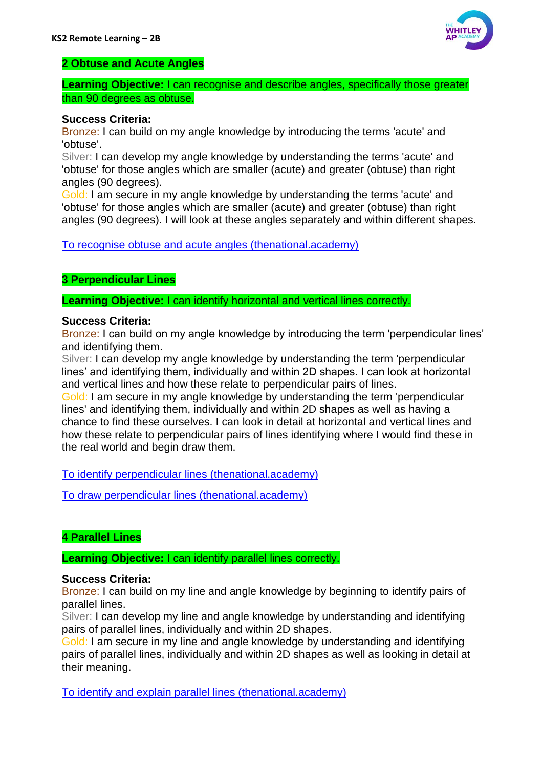

## **2 Obtuse and Acute Angles**

**Learning Objective:** I can recognise and describe angles, specifically those greater than 90 degrees as obtuse.

### **Success Criteria:**

Bronze: I can build on my angle knowledge by introducing the terms 'acute' and 'obtuse'.

Silver: I can develop my angle knowledge by understanding the terms 'acute' and 'obtuse' for those angles which are smaller (acute) and greater (obtuse) than right angles (90 degrees).

Gold: I am secure in my angle knowledge by understanding the terms 'acute' and 'obtuse' for those angles which are smaller (acute) and greater (obtuse) than right angles (90 degrees). I will look at these angles separately and within different shapes.

[To recognise obtuse and acute angles \(thenational.academy\)](https://classroom.thenational.academy/lessons/to-recognise-obtuse-and-acute-angles-ccwk6c)

# **3 Perpendicular Lines**

**Learning Objective:** I can identify horizontal and vertical lines correctly.

## **Success Criteria:**

Bronze: I can build on my angle knowledge by introducing the term 'perpendicular lines' and identifying them.

Silver: I can develop my angle knowledge by understanding the term 'perpendicular lines' and identifying them, individually and within 2D shapes. I can look at horizontal and vertical lines and how these relate to perpendicular pairs of lines.

Gold: I am secure in my angle knowledge by understanding the term 'perpendicular lines' and identifying them, individually and within 2D shapes as well as having a chance to find these ourselves. I can look in detail at horizontal and vertical lines and how these relate to perpendicular pairs of lines identifying where I would find these in the real world and begin draw them.

[To identify perpendicular lines \(thenational.academy\)](https://classroom.thenational.academy/lessons/to-identify-perpendicular-lines-cguk0r)

[To draw perpendicular lines \(thenational.academy\)](https://classroom.thenational.academy/lessons/to-draw-perpendicular-lines-6mr3er)

# **4 Parallel Lines**

**Learning Objective:** I can identify parallel lines correctly.

# **Success Criteria:**

Bronze: I can build on my line and angle knowledge by beginning to identify pairs of parallel lines.

Silver: I can develop my line and angle knowledge by understanding and identifying pairs of parallel lines, individually and within 2D shapes.

Gold: I am secure in my line and angle knowledge by understanding and identifying pairs of parallel lines, individually and within 2D shapes as well as looking in detail at their meaning.

[To identify and explain parallel lines \(thenational.academy\)](https://classroom.thenational.academy/lessons/to-identify-and-explain-parallel-lines-cdh3ct)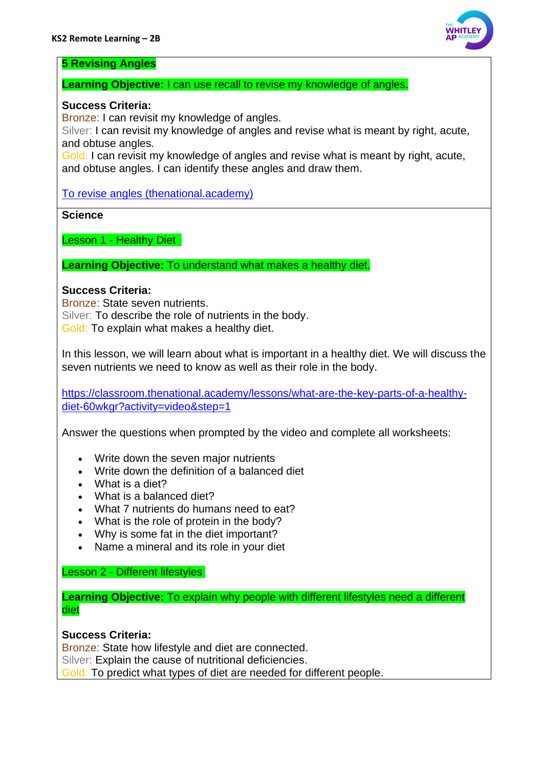

### **5 Revising Angles**

**Learning Objective:** I can use recall to revise my knowledge of angles.

### **Success Criteria:**

Bronze: I can revisit my knowledge of angles.

Silver: I can revisit my knowledge of angles and revise what is meant by right, acute, and obtuse angles.

Gold: I can revisit my knowledge of angles and revise what is meant by right, acute, and obtuse angles. I can identify these angles and draw them.

[To revise angles \(thenational.academy\)](https://classroom.thenational.academy/lessons/to-revise-angles-chjkgr)

**Science**

Lesson 1 - Healthy Diet

**Learning Objective:** To understand what makes a healthy diet.

### **Success Criteria:**

Bronze: State seven nutrients. Silver: To describe the role of nutrients in the body. Gold: To explain what makes a healthy diet.

In this lesson, we will learn about what is important in a healthy diet. We will discuss the seven nutrients we need to know as well as their role in the body.

[https://classroom.thenational.academy/lessons/what-are-the-key-parts-of-a-healthy](https://classroom.thenational.academy/lessons/what-are-the-key-parts-of-a-healthy-diet-60wkgr?activity=video&step=1)[diet-60wkgr?activity=video&step=1](https://classroom.thenational.academy/lessons/what-are-the-key-parts-of-a-healthy-diet-60wkgr?activity=video&step=1)

Answer the questions when prompted by the video and complete all worksheets:

- Write down the seven major nutrients
- Write down the definition of a balanced diet
- What is a diet?
- What is a balanced diet?
- What 7 nutrients do humans need to eat?
- What is the role of protein in the body?
- Why is some fat in the diet important?
- Name a mineral and its role in your diet

### Lesson 2 - Different lifestyles

**Learning Objective:** To explain why people with different lifestyles need a different diet

**Success Criteria:**

Bronze: State how lifestyle and diet are connected.

Silver: Explain the cause of nutritional deficiencies.

Gold: To predict what types of diet are needed for different people.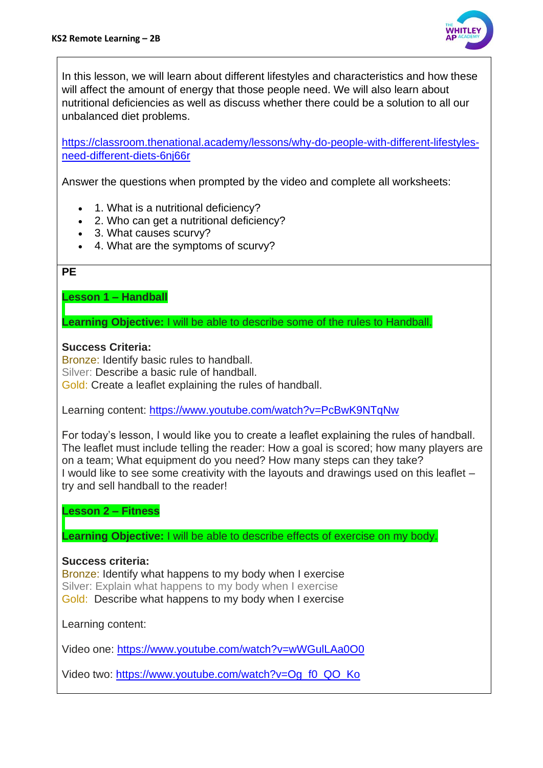

In this lesson, we will learn about different lifestyles and characteristics and how these will affect the amount of energy that those people need. We will also learn about nutritional deficiencies as well as discuss whether there could be a solution to all our unbalanced diet problems.

[https://classroom.thenational.academy/lessons/why-do-people-with-different-lifestyles](https://classroom.thenational.academy/lessons/why-do-people-with-different-lifestyles-need-different-diets-6nj66r)[need-different-diets-6nj66r](https://classroom.thenational.academy/lessons/why-do-people-with-different-lifestyles-need-different-diets-6nj66r)

Answer the questions when prompted by the video and complete all worksheets:

- 1. What is a nutritional deficiency?
- 2. Who can get a nutritional deficiency?
- 3. What causes scurvy?
- 4. What are the symptoms of scurvy?

### **PE**

**Lesson 1 – Handball**

**Learning Objective:** I will be able to describe some of the rules to Handball.

## **Success Criteria:**

Bronze: Identify basic rules to handball. Silver: Describe a basic rule of handball. Gold: Create a leaflet explaining the rules of handball.

Learning content:<https://www.youtube.com/watch?v=PcBwK9NTqNw>

For today's lesson, I would like you to create a leaflet explaining the rules of handball. The leaflet must include telling the reader: How a goal is scored; how many players are on a team; What equipment do you need? How many steps can they take? I would like to see some creativity with the layouts and drawings used on this leaflet – try and sell handball to the reader!

**Lesson 2 – Fitness**

**Learning Objective:** I will be able to describe effects of exercise on my body.

### **Success criteria:**

Bronze: Identify what happens to my body when I exercise Silver: Explain what happens to my body when I exercise Gold: Describe what happens to my body when I exercise

Learning content:

Video one:<https://www.youtube.com/watch?v=wWGulLAa0O0>

Video two: [https://www.youtube.com/watch?v=Og\\_f0\\_QO\\_Ko](https://www.youtube.com/watch?v=Og_f0_QO_Ko)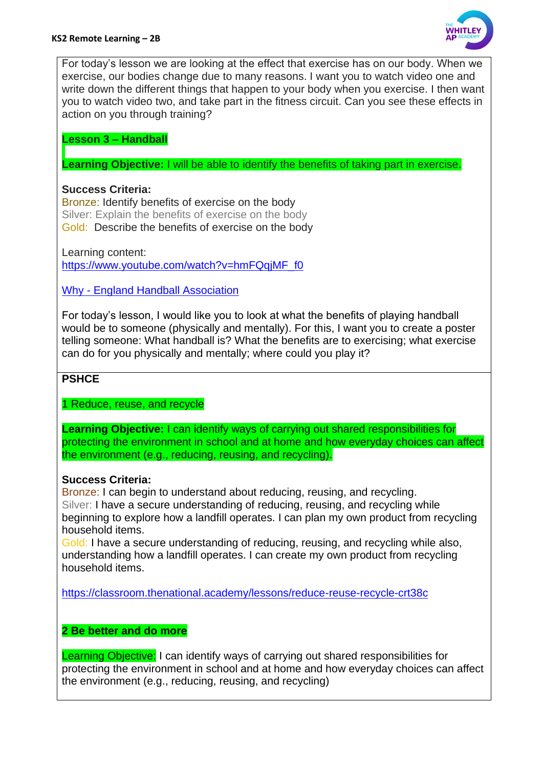

For today's lesson we are looking at the effect that exercise has on our body. When we exercise, our bodies change due to many reasons. I want you to watch video one and write down the different things that happen to your body when you exercise. I then want you to watch video two, and take part in the fitness circuit. Can you see these effects in action on you through training?

**Lesson 3 – Handball**

**Learning Objective:** I will be able to identify the benefits of taking part in exercise.

## **Success Criteria:**

Bronze: Identify benefits of exercise on the body Silver: Explain the benefits of exercise on the body Gold: Describe the benefits of exercise on the body

Learning content: [https://www.youtube.com/watch?v=hmFQqjMF\\_f0](https://www.youtube.com/watch?v=hmFQqjMF_f0)

Why - [England Handball Association](https://www.englandhandball.com/play-the-game/why-play-handball)

For today's lesson, I would like you to look at what the benefits of playing handball would be to someone (physically and mentally). For this, I want you to create a poster telling someone: What handball is? What the benefits are to exercising; what exercise can do for you physically and mentally; where could you play it?

# **PSHCE**

1 Reduce, reuse, and recycle

**Learning Objective:** I can identify ways of carrying out shared responsibilities for protecting the environment in school and at home and how everyday choices can affect the environment (e.g., reducing, reusing, and recycling).

# **Success Criteria:**

Bronze: I can begin to understand about reducing, reusing, and recycling. Silver: I have a secure understanding of reducing, reusing, and recycling while beginning to explore how a landfill operates. I can plan my own product from recycling household items.

Gold: I have a secure understanding of reducing, reusing, and recycling while also, understanding how a landfill operates. I can create my own product from recycling household items.

<https://classroom.thenational.academy/lessons/reduce-reuse-recycle-crt38c>

# **2 Be better and do more**

Learning Objective: I can identify ways of carrying out shared responsibilities for protecting the environment in school and at home and how everyday choices can affect the environment (e.g., reducing, reusing, and recycling)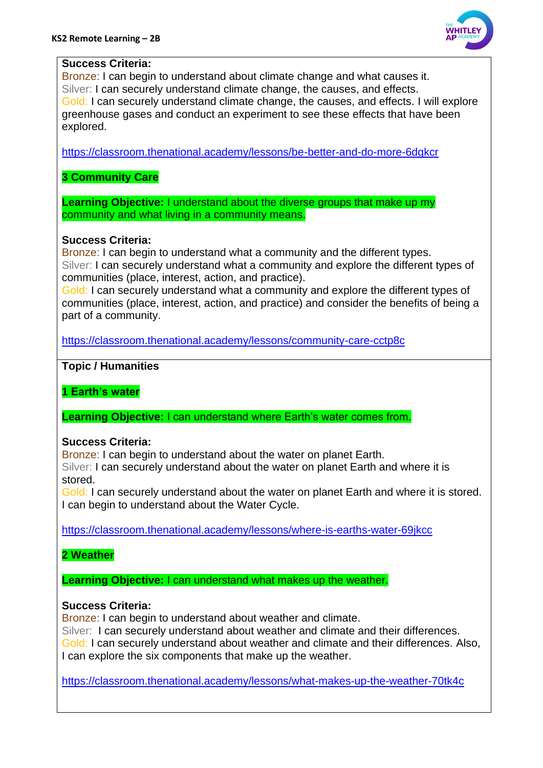

### **Success Criteria:**

Bronze: I can begin to understand about climate change and what causes it. Silver: I can securely understand climate change, the causes, and effects. Gold: I can securely understand climate change, the causes, and effects. I will explore greenhouse gases and conduct an experiment to see these effects that have been explored.

<https://classroom.thenational.academy/lessons/be-better-and-do-more-6dgkcr>

**3 Community Care**

**Learning Objective:** I understand about the diverse groups that make up my community and what living in a community means.

### **Success Criteria:**

Bronze: I can begin to understand what a community and the different types. Silver: I can securely understand what a community and explore the different types of communities (place, interest, action, and practice).

Gold: I can securely understand what a community and explore the different types of communities (place, interest, action, and practice) and consider the benefits of being a part of a community.

<https://classroom.thenational.academy/lessons/community-care-cctp8c>

### **Topic / Humanities**

**1 Earth's water**

**Learning Objective:** I can understand where Earth's water comes from.

#### **Success Criteria:**

Bronze: I can begin to understand about the water on planet Earth.

Silver: I can securely understand about the water on planet Earth and where it is stored.

Gold: I can securely understand about the water on planet Earth and where it is stored. I can begin to understand about the Water Cycle.

<https://classroom.thenational.academy/lessons/where-is-earths-water-69jkcc>

### **2 Weather**

**Learning Objective:** I can understand what makes up the weather.

### **Success Criteria:**

Bronze: I can begin to understand about weather and climate.

Silver: I can securely understand about weather and climate and their differences. Gold: I can securely understand about weather and climate and their differences. Also, I can explore the six components that make up the weather.

<https://classroom.thenational.academy/lessons/what-makes-up-the-weather-70tk4c>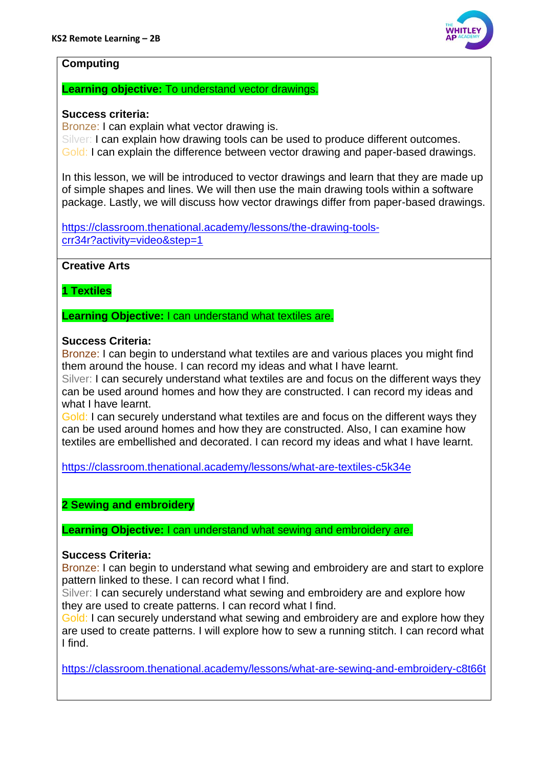

### **Computing**

### **Learning objective:** To understand vector drawings.

### **Success criteria:**

Bronze: I can explain what vector drawing is.

Silver: I can explain how drawing tools can be used to produce different outcomes. Gold: I can explain the difference between vector drawing and paper-based drawings.

In this lesson, we will be introduced to vector drawings and learn that they are made up of simple shapes and lines. We will then use the main drawing tools within a software package. Lastly, we will discuss how vector drawings differ from paper-based drawings.

[https://classroom.thenational.academy/lessons/the-drawing-tools](https://classroom.thenational.academy/lessons/the-drawing-tools-crr34r?activity=video&step=1)[crr34r?activity=video&step=1](https://classroom.thenational.academy/lessons/the-drawing-tools-crr34r?activity=video&step=1)

**Creative Arts**

**1 Textiles**

**Learning Objective:** I can understand what textiles are.

### **Success Criteria:**

Bronze: I can begin to understand what textiles are and various places you might find them around the house. I can record my ideas and what I have learnt.

Silver: I can securely understand what textiles are and focus on the different ways they can be used around homes and how they are constructed. I can record my ideas and what I have learnt.

Gold: I can securely understand what textiles are and focus on the different ways they can be used around homes and how they are constructed. Also, I can examine how textiles are embellished and decorated. I can record my ideas and what I have learnt.

<https://classroom.thenational.academy/lessons/what-are-textiles-c5k34e>

### **2 Sewing and embroidery**

**Learning Objective:** I can understand what sewing and embroidery are.

#### **Success Criteria:**

Bronze: I can begin to understand what sewing and embroidery are and start to explore pattern linked to these. I can record what I find.

Silver: I can securely understand what sewing and embroidery are and explore how they are used to create patterns. I can record what I find.

Gold: I can securely understand what sewing and embroidery are and explore how they are used to create patterns. I will explore how to sew a running stitch. I can record what I find.

<https://classroom.thenational.academy/lessons/what-are-sewing-and-embroidery-c8t66t>